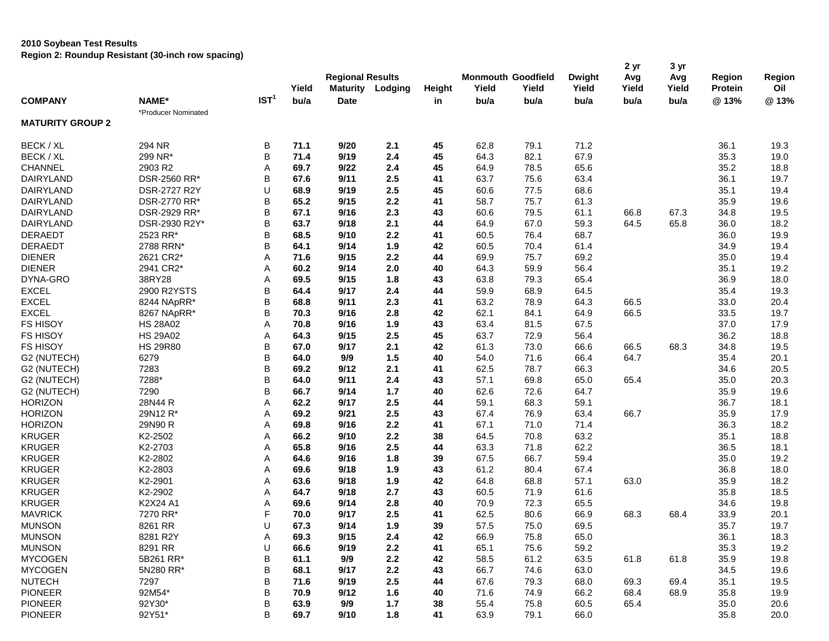| *Producer Nominated<br><b>MATURITY GROUP 2</b>                                                               |              |
|--------------------------------------------------------------------------------------------------------------|--------------|
|                                                                                                              |              |
| BECK / XL<br>294 NR<br>В<br>9/20<br>45<br>62.8<br>79.1<br>71.2<br>71.1<br>2.1                                | 36.1<br>19.3 |
| BECK / XL<br>299 NR*<br>B<br>9/19<br>2.4<br>45<br>64.3<br>82.1<br>67.9<br>71.4                               | 35.3<br>19.0 |
| <b>CHANNEL</b><br>45<br>78.5<br>65.6<br>2903 R2<br>Α<br>69.7<br>9/22<br>2.4<br>64.9                          | 18.8<br>35.2 |
| DAIRYLAND<br>DSR-2560 RR*<br>B<br>67.6<br>2.5<br>41<br>63.7<br>75.6<br>63.4<br>9/11                          | 36.1<br>19.7 |
| U<br>DAIRYLAND<br>DSR-2727 R2Y<br>9/19<br>2.5<br>45<br>60.6<br>77.5<br>68.6<br>68.9                          | 35.1<br>19.4 |
| B<br>DAIRYLAND<br>DSR-2770 RR*<br>9/15<br>58.7<br>75.7<br>65.2<br>2.2<br>41<br>61.3                          | 35.9<br>19.6 |
| B<br>DAIRYLAND<br>DSR-2929 RR*<br>2.3<br>67.3<br>67.1<br>9/16<br>43<br>60.6<br>79.5<br>61.1<br>66.8          | 19.5<br>34.8 |
| B<br>DSR-2930 R2Y*<br>67.0<br>59.3<br>64.5<br>65.8<br>DAIRYLAND<br>63.7<br>9/18<br>2.1<br>44<br>64.9         | 36.0<br>18.2 |
| B<br><b>DERAEDT</b><br>2523 RR*<br>68.5<br>9/10<br>2.2<br>41<br>60.5<br>76.4<br>68.7                         | 36.0<br>19.9 |
| B<br><b>DERAEDT</b><br>2788 RRN*<br>64.1<br>9/14<br>1.9<br>42<br>60.5<br>70.4<br>61.4                        | 19.4<br>34.9 |
| <b>DIENER</b><br>2621 CR2*<br>44<br>75.7<br>69.2<br>Α<br>71.6<br>9/15<br>2.2<br>69.9                         | 19.4<br>35.0 |
| <b>DIENER</b><br>2941 CR2*<br>9/14<br>59.9<br>56.4<br>Α<br>60.2<br>2.0<br>40<br>64.3                         | 19.2<br>35.1 |
| DYNA-GRO<br>38RY28<br>Α<br>69.5<br>9/15<br>1.8<br>63.8<br>79.3<br>65.4<br>43                                 | 36.9<br>18.0 |
| B<br><b>EXCEL</b><br>2900 R2YSTS<br>9/17<br>2.4<br>44<br>59.9<br>64.4<br>68.9<br>64.5                        | 19.3<br>35.4 |
| B<br><b>EXCEL</b><br>8244 NApRR*<br>9/11<br>2.3<br>63.2<br>78.9<br>66.5<br>68.8<br>41<br>64.3                | 33.0<br>20.4 |
| B<br><b>EXCEL</b><br>62.1<br>66.5<br>8267 NApRR*<br>70.3<br>9/16<br>2.8<br>42<br>84.1<br>64.9                | 33.5<br>19.7 |
| <b>FS HISOY</b><br>1.9<br>43<br>63.4<br>81.5<br>67.5<br><b>HS 28A02</b><br>Α<br>70.8<br>9/16                 | 37.0<br>17.9 |
| <b>FS HISOY</b><br><b>HS 29A02</b><br>Α<br>64.3<br>2.5<br>45<br>63.7<br>72.9<br>56.4<br>9/15                 | 36.2<br>18.8 |
| B<br><b>FS HISOY</b><br><b>HS 29R80</b><br>67.0<br>9/17<br>2.1<br>61.3<br>73.0<br>66.6<br>68.3<br>42<br>66.5 | 19.5<br>34.8 |
| B<br>6279<br>9/9<br>1.5<br>71.6<br>64.7<br>G2 (NUTECH)<br>64.0<br>40<br>54.0<br>66.4                         | 20.1<br>35.4 |
| B<br>78.7<br>G2 (NUTECH)<br>7283<br>69.2<br>9/12<br>2.1<br>41<br>62.5<br>66.3                                | 20.5<br>34.6 |
| B<br>7288*<br>9/11<br>57.1<br>69.8<br>G2 (NUTECH)<br>64.0<br>2.4<br>43<br>65.0<br>65.4                       | 20.3<br>35.0 |
| B<br>7290<br>66.7<br>9/14<br>1.7<br>40<br>62.6<br>72.6<br>64.7<br>G2 (NUTECH)                                | 19.6<br>35.9 |
| <b>HORIZON</b><br>28N44 R<br>9/17<br>2.5<br>59.1<br>68.3<br>Α<br>62.2<br>44<br>59.1                          | 36.7<br>18.1 |
| <b>HORIZON</b><br>29N12 R*<br>69.2<br>2.5<br>67.4<br>76.9<br>66.7<br>Α<br>9/21<br>43<br>63.4                 | 35.9<br>17.9 |
| <b>HORIZON</b><br>29N90 R<br>69.8<br>2.2<br>67.1<br>71.0<br>71.4<br>Α<br>9/16<br>41                          | 18.2<br>36.3 |
| <b>KRUGER</b><br>K2-2502<br>Α<br>66.2<br>2.2<br>38<br>63.2<br>9/10<br>64.5<br>70.8                           | 35.1<br>18.8 |
| <b>KRUGER</b><br>K2-2703<br>65.8<br>2.5<br>44<br>63.3<br>71.8<br>62.2<br>A<br>9/16                           | 36.5<br>18.1 |
| <b>KRUGER</b><br>K2-2802<br>Α<br>67.5<br>66.7<br>59.4<br>64.6<br>9/16<br>1.8<br>39                           | 35.0<br>19.2 |
| K2-2803<br>61.2<br><b>KRUGER</b><br>69.6<br>9/18<br>1.9<br>43<br>80.4<br>67.4<br>Α                           | 18.0<br>36.8 |
| <b>KRUGER</b><br>K2-2901<br>1.9<br>42<br>64.8<br>63.0<br>Α<br>63.6<br>9/18<br>68.8<br>57.1                   | 18.2<br>35.9 |
| <b>KRUGER</b><br>K2-2902<br>2.7<br>Α<br>64.7<br>9/18<br>43<br>60.5<br>71.9<br>61.6                           | 18.5<br>35.8 |
| <b>KRUGER</b><br>K2X24 A1<br>69.6<br>9/14<br>2.8<br>40<br>70.9<br>72.3<br>65.5<br>Α                          | 34.6<br>19.8 |
| F<br><b>MAVRICK</b><br>7270 RR*<br>9/17<br>2.5<br>62.5<br>80.6<br>66.9<br>68.3<br>68.4<br>70.0<br>41         | 33.9<br>20.1 |
| $\cup$<br><b>MUNSON</b><br>8261 RR<br>67.3<br>9/14<br>1.9<br>39<br>57.5<br>69.5<br>75.0                      | 35.7<br>19.7 |
| <b>MUNSON</b><br>8281 R2Y<br>69.3<br>9/15<br>2.4<br>42<br>66.9<br>75.8<br>65.0<br>Α                          | 36.1<br>18.3 |
| <b>MUNSON</b><br>8291 RR<br>U<br>9/19<br>$2.2\,$<br>59.2<br>66.6<br>41<br>65.1<br>75.6                       | 35.3<br>19.2 |
| <b>MYCOGEN</b><br>B<br>5B261 RR*<br>61.1<br>9/9<br>2.2<br>42<br>58.5<br>61.2<br>63.5<br>61.8<br>61.8         | 35.9<br>19.8 |
| B<br><b>MYCOGEN</b><br>5N280 RR*<br>9/17<br>2.2<br>66.7<br>74.6<br>63.0<br>68.1<br>43                        | 34.5<br>19.6 |
| B<br><b>NUTECH</b><br>7297<br>71.6<br>9/19<br>2.5<br>44<br>67.6<br>68.0<br>69.3<br>69.4<br>79.3              | 35.1<br>19.5 |
| <b>PIONEER</b><br>92M54*<br>B<br>70.9<br>9/12<br>1.6<br>40<br>71.6<br>66.2<br>68.4<br>68.9<br>74.9           | 35.8<br>19.9 |
| <b>PIONEER</b><br>92Y30*<br>В<br>9/9<br>63.9<br>1.7<br>38<br>55.4<br>75.8<br>60.5<br>65.4                    | 20.6<br>35.0 |
| <b>PIONEER</b><br>92Y51*<br>B<br>69.7<br>1.8<br>9/10<br>41<br>63.9<br>79.1<br>66.0                           | 35.8<br>20.0 |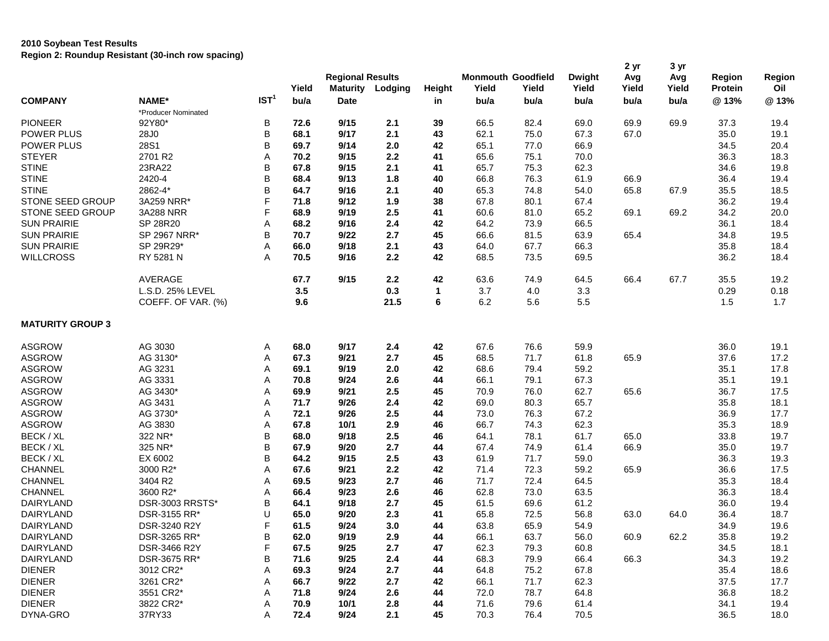|                         |                     |                  | Yield | <b>Regional Results</b><br><b>Maturity</b> | Lodging | <b>Height</b> | <b>Monmouth Goodfield</b><br>Yield | Yield | <b>Dwight</b><br>Yield | 2 yr<br>Avg<br>Yield | 3 yr<br>Avg<br>Yield | Region<br><b>Protein</b> | Region<br>Oil |
|-------------------------|---------------------|------------------|-------|--------------------------------------------|---------|---------------|------------------------------------|-------|------------------------|----------------------|----------------------|--------------------------|---------------|
| <b>COMPANY</b>          | NAME*               | IST <sup>1</sup> | bu/a  | <b>Date</b>                                |         | in            | bu/a                               | bu/a  | bu/a                   | bu/a                 | bu/a                 | @13%                     | @13%          |
|                         | *Producer Nominated |                  |       |                                            |         |               |                                    |       |                        |                      |                      |                          |               |
| <b>PIONEER</b>          | 92Y80*              | B                | 72.6  | 9/15                                       | 2.1     | 39            | 66.5                               | 82.4  | 69.0                   | 69.9                 | 69.9                 | 37.3                     | 19.4          |
| POWER PLUS              | 28J0                | B                | 68.1  | 9/17                                       | 2.1     | 43            | 62.1                               | 75.0  | 67.3                   | 67.0                 |                      | 35.0                     | 19.1          |
| <b>POWER PLUS</b>       | 28S1                | B                | 69.7  | 9/14                                       | 2.0     | 42            | 65.1                               | 77.0  | 66.9                   |                      |                      | 34.5                     | 20.4          |
| <b>STEYER</b>           | 2701 R2             | Α                | 70.2  | 9/15                                       | 2.2     | 41            | 65.6                               | 75.1  | 70.0                   |                      |                      | 36.3                     | 18.3          |
| <b>STINE</b>            | 23RA22              | B                | 67.8  | 9/15                                       | 2.1     | 41            | 65.7                               | 75.3  | 62.3                   |                      |                      | 34.6                     | 19.8          |
| <b>STINE</b>            | 2420-4              | B                | 68.4  | 9/13                                       | 1.8     | 40            | 66.8                               | 76.3  | 61.9                   | 66.9                 |                      | 36.4                     | 19.4          |
| <b>STINE</b>            | 2862-4*             | B                | 64.7  | 9/16                                       | 2.1     | 40            | 65.3                               | 74.8  | 54.0                   | 65.8                 | 67.9                 | 35.5                     | 18.5          |
| STONE SEED GROUP        | 3A259 NRR*          | F                | 71.8  | 9/12                                       | 1.9     | 38            | 67.8                               | 80.1  | 67.4                   |                      |                      | 36.2                     | 19.4          |
| STONE SEED GROUP        | 3A288 NRR           | F                | 68.9  | 9/19                                       | 2.5     | 41            | 60.6                               | 81.0  | 65.2                   | 69.1                 | 69.2                 | 34.2                     | 20.0          |
| <b>SUN PRAIRIE</b>      | SP 28R20            | Α                | 68.2  | 9/16                                       | 2.4     | 42            | 64.2                               | 73.9  | 66.5                   |                      |                      | 36.1                     | 18.4          |
| <b>SUN PRAIRIE</b>      | SP 2967 NRR*        | B                | 70.7  | 9/22                                       | 2.7     | 45            | 66.6                               | 81.5  | 63.9                   | 65.4                 |                      | 34.8                     | 19.5          |
| <b>SUN PRAIRIE</b>      | SP 29R29*           | Α                | 66.0  | 9/18                                       | 2.1     | 43            | 64.0                               | 67.7  | 66.3                   |                      |                      | 35.8                     | 18.4          |
| <b>WILLCROSS</b>        | RY 5281 N           | A                | 70.5  | 9/16                                       | 2.2     | 42            | 68.5                               | 73.5  | 69.5                   |                      |                      | 36.2                     | 18.4          |
|                         | AVERAGE             |                  | 67.7  | 9/15                                       | 2.2     | 42            | 63.6                               | 74.9  | 64.5                   | 66.4                 | 67.7                 | 35.5                     | 19.2          |
|                         | L.S.D. 25% LEVEL    |                  | 3.5   |                                            | 0.3     | 1             | 3.7                                | 4.0   | 3.3                    |                      |                      | 0.29                     | 0.18          |
|                         | COEFF. OF VAR. (%)  |                  | 9.6   |                                            | 21.5    | 6             | 6.2                                | 5.6   | 5.5                    |                      |                      | 1.5                      | 1.7           |
| <b>MATURITY GROUP 3</b> |                     |                  |       |                                            |         |               |                                    |       |                        |                      |                      |                          |               |
| <b>ASGROW</b>           | AG 3030             | Α                | 68.0  | 9/17                                       | 2.4     | 42            | 67.6                               | 76.6  | 59.9                   |                      |                      | 36.0                     | 19.1          |
| <b>ASGROW</b>           | AG 3130*            | Α                | 67.3  | 9/21                                       | 2.7     | 45            | 68.5                               | 71.7  | 61.8                   | 65.9                 |                      | 37.6                     | 17.2          |
| <b>ASGROW</b>           | AG 3231             | Α                | 69.1  | 9/19                                       | 2.0     | 42            | 68.6                               | 79.4  | 59.2                   |                      |                      | 35.1                     | 17.8          |
| <b>ASGROW</b>           | AG 3331             | Α                | 70.8  | 9/24                                       | 2.6     | 44            | 66.1                               | 79.1  | 67.3                   |                      |                      | 35.1                     | 19.1          |
| <b>ASGROW</b>           | AG 3430*            | Α                | 69.9  | 9/21                                       | 2.5     | 45            | 70.9                               | 76.0  | 62.7                   | 65.6                 |                      | 36.7                     | 17.5          |
| <b>ASGROW</b>           | AG 3431             | Α                | 71.7  | 9/26                                       | 2.4     | 42            | 69.0                               | 80.3  | 65.7                   |                      |                      | 35.8                     | 18.1          |
| <b>ASGROW</b>           | AG 3730*            | Α                | 72.1  | 9/26                                       | 2.5     | 44            | 73.0                               | 76.3  | 67.2                   |                      |                      | 36.9                     | 17.7          |
| <b>ASGROW</b>           | AG 3830             | Α                | 67.8  | 10/1                                       | 2.9     | 46            | 66.7                               | 74.3  | 62.3                   |                      |                      | 35.3                     | 18.9          |
| BECK / XL               | 322 NR*             | B                | 68.0  | 9/18                                       | 2.5     | 46            | 64.1                               | 78.1  | 61.7                   | 65.0                 |                      | 33.8                     | 19.7          |
| BECK / XL               | 325 NR*             | B                | 67.9  | 9/20                                       | 2.7     | 44            | 67.4                               | 74.9  | 61.4                   | 66.9                 |                      | 35.0                     | 19.7          |
| BECK / XL               | EX 6002             | B                | 64.2  | 9/15                                       | 2.5     | 43            | 61.9                               | 71.7  | 59.0                   |                      |                      | 36.3                     | 19.3          |
| <b>CHANNEL</b>          | 3000 R2*            | Α                | 67.6  | 9/21                                       | 2.2     | 42            | 71.4                               | 72.3  | 59.2                   | 65.9                 |                      | 36.6                     | 17.5          |
| <b>CHANNEL</b>          | 3404 R2             | Α                | 69.5  | 9/23                                       | 2.7     | 46            | 71.7                               | 72.4  | 64.5                   |                      |                      | 35.3                     | 18.4          |
| <b>CHANNEL</b>          | 3600 R2*            | Α                | 66.4  | 9/23                                       | 2.6     | 46            | 62.8                               | 73.0  | 63.5                   |                      |                      | 36.3                     | 18.4          |
| <b>DAIRYLAND</b>        | DSR-3003 RRSTS*     | B                | 64.1  | 9/18                                       | 2.7     | 45            | 61.5                               | 69.6  | 61.2                   |                      |                      | 36.0                     | 19.4          |
| <b>DAIRYLAND</b>        | DSR-3155 RR*        | U                | 65.0  | 9/20                                       | 2.3     | 41            | 65.8                               | 72.5  | 56.8                   | 63.0                 | 64.0                 | 36.4                     | 18.7          |
| DAIRYLAND               | DSR-3240 R2Y        | F                | 61.5  | 9/24                                       | 3.0     | 44            | 63.8                               | 65.9  | 54.9                   |                      |                      | 34.9                     | 19.6          |
| DAIRYLAND               | DSR-3265 RR*        | В                | 62.0  | 9/19                                       | 2.9     | 44            | 66.1                               | 63.7  | 56.0                   | 60.9                 | 62.2                 | 35.8                     | 19.2          |
| DAIRYLAND               | DSR-3466 R2Y        | F                | 67.5  | 9/25                                       | 2.7     | 47            | 62.3                               | 79.3  | 60.8                   |                      |                      | 34.5                     | 18.1          |
| DAIRYLAND               | DSR-3675 RR*        | В                | 71.6  | 9/25                                       | 2.4     | 44            | 68.3                               | 79.9  | 66.4                   | 66.3                 |                      | 34.3                     | 19.2          |
| <b>DIENER</b>           | 3012 CR2*           | Α                | 69.3  | 9/24                                       | 2.7     | 44            | 64.8                               | 75.2  | 67.8                   |                      |                      | 35.4                     | 18.6          |
| <b>DIENER</b>           | 3261 CR2*           | Α                | 66.7  | 9/22                                       | 2.7     | 42            | 66.1                               | 71.7  | 62.3                   |                      |                      | 37.5                     | 17.7          |
| <b>DIENER</b>           | 3551 CR2*           | Α                | 71.8  | 9/24                                       | 2.6     | 44            | 72.0                               | 78.7  | 64.8                   |                      |                      | 36.8                     | 18.2          |
| <b>DIENER</b>           | 3822 CR2*           | Α                | 70.9  | 10/1                                       | 2.8     | 44            | 71.6                               | 79.6  | 61.4                   |                      |                      | 34.1                     | 19.4          |
| DYNA-GRO                | 37RY33              | Α                | 72.4  | 9/24                                       | 2.1     | 45            | 70.3                               | 76.4  | 70.5                   |                      |                      | 36.5                     | 18.0          |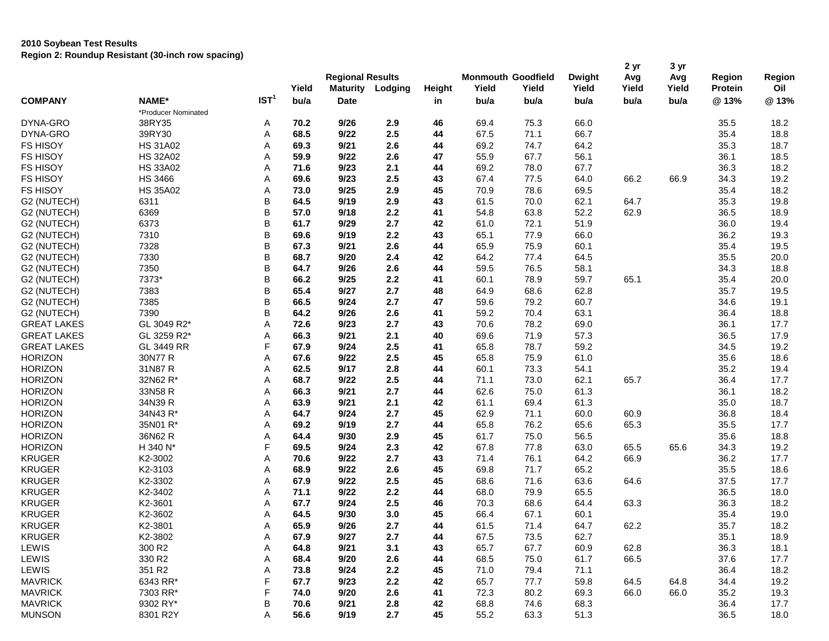|                    |                     |                  | Yield | <b>Regional Results</b><br><b>Maturity</b> | Lodging | Height | <b>Monmouth Goodfield</b><br>Yield | Yield | <b>Dwight</b><br>Yield | 2 yr<br>Avg<br>Yield | 3 yr<br>Avg<br>Yield | Region<br>Protein | Region<br>Oil |
|--------------------|---------------------|------------------|-------|--------------------------------------------|---------|--------|------------------------------------|-------|------------------------|----------------------|----------------------|-------------------|---------------|
| <b>COMPANY</b>     | NAME*               | IST <sup>1</sup> | bu/a  | <b>Date</b>                                |         | in     | bu/a                               | bu/a  | bu/a                   | bu/a                 | bu/a                 | @13%              | @13%          |
|                    | *Producer Nominated |                  |       |                                            |         |        |                                    |       |                        |                      |                      |                   |               |
| DYNA-GRO           | 38RY35              | A                | 70.2  | 9/26                                       | 2.9     | 46     | 69.4                               | 75.3  | 66.0                   |                      |                      | 35.5              | 18.2          |
| DYNA-GRO           | 39RY30              | Α                | 68.5  | 9/22                                       | 2.5     | 44     | 67.5                               | 71.1  | 66.7                   |                      |                      | 35.4              | 18.8          |
| <b>FS HISOY</b>    | <b>HS 31A02</b>     | Α                | 69.3  | 9/21                                       | 2.6     | 44     | 69.2                               | 74.7  | 64.2                   |                      |                      | 35.3              | 18.7          |
| <b>FS HISOY</b>    | <b>HS 32A02</b>     | Α                | 59.9  | 9/22                                       | 2.6     | 47     | 55.9                               | 67.7  | 56.1                   |                      |                      | 36.1              | 18.5          |
| <b>FS HISOY</b>    | <b>HS 33A02</b>     | Α                | 71.6  | 9/23                                       | 2.1     | 44     | 69.2                               | 78.0  | 67.7                   |                      |                      | 36.3              | 18.2          |
| <b>FS HISOY</b>    | <b>HS 3466</b>      | Α                | 69.6  | 9/23                                       | 2.5     | 43     | 67.4                               | 77.5  | 64.0                   | 66.2                 | 66.9                 | 34.3              | 19.2          |
| <b>FS HISOY</b>    | <b>HS 35A02</b>     | Α                | 73.0  | 9/25                                       | 2.9     | 45     | 70.9                               | 78.6  | 69.5                   |                      |                      | 35.4              | 18.2          |
| G2 (NUTECH)        | 6311                | В                | 64.5  | 9/19                                       | 2.9     | 43     | 61.5                               | 70.0  | 62.1                   | 64.7                 |                      | 35.3              | 19.8          |
| G2 (NUTECH)        | 6369                | В                | 57.0  | 9/18                                       | 2.2     | 41     | 54.8                               | 63.8  | 52.2                   | 62.9                 |                      | 36.5              | 18.9          |
| G2 (NUTECH)        | 6373                | B                | 61.7  | 9/29                                       | 2.7     | 42     | 61.0                               | 72.1  | 51.9                   |                      |                      | 36.0              | 19.4          |
| G2 (NUTECH)        | 7310                | В                | 69.6  | 9/19                                       | 2.2     | 43     | 65.1                               | 77.9  | 66.0                   |                      |                      | 36.2              | 19.3          |
| G2 (NUTECH)        | 7328                | В                | 67.3  | 9/21                                       | 2.6     | 44     | 65.9                               | 75.9  | 60.1                   |                      |                      | 35.4              | 19.5          |
| G2 (NUTECH)        | 7330                | B                | 68.7  | 9/20                                       | 2.4     | 42     | 64.2                               | 77.4  | 64.5                   |                      |                      | 35.5              | 20.0          |
| G2 (NUTECH)        | 7350                | B                | 64.7  | 9/26                                       | 2.6     | 44     | 59.5                               | 76.5  | 58.1                   |                      |                      | 34.3              | 18.8          |
| G2 (NUTECH)        | 7373*               | B                | 66.2  | 9/25                                       | 2.2     | 41     | 60.1                               | 78.9  | 59.7                   | 65.1                 |                      | 35.4              | 20.0          |
| G2 (NUTECH)        | 7383                | B                | 65.4  | 9/27                                       | 2.7     | 48     | 64.9                               | 68.6  | 62.8                   |                      |                      | 35.7              | 19.5          |
| G2 (NUTECH)        | 7385                | B                | 66.5  | 9/24                                       | 2.7     | 47     | 59.6                               | 79.2  | 60.7                   |                      |                      | 34.6              | 19.1          |
| G2 (NUTECH)        | 7390                | В                | 64.2  | 9/26                                       | 2.6     | 41     | 59.2                               | 70.4  | 63.1                   |                      |                      | 36.4              | 18.8          |
| <b>GREAT LAKES</b> | GL 3049 R2*         | Α                | 72.6  | 9/23                                       | 2.7     | 43     | 70.6                               | 78.2  | 69.0                   |                      |                      | 36.1              | 17.7          |
| <b>GREAT LAKES</b> | GL 3259 R2*         | Α                | 66.3  | 9/21                                       | 2.1     | 40     | 69.6                               | 71.9  | 57.3                   |                      |                      | 36.5              | 17.9          |
| <b>GREAT LAKES</b> | GL 3449 RR          | F                | 67.9  | 9/24                                       | 2.5     | 41     | 65.8                               | 78.7  | 59.2                   |                      |                      | 34.5              | 19.2          |
| <b>HORIZON</b>     | 30N77 R             | A                | 67.6  | 9/22                                       | 2.5     | 45     | 65.8                               | 75.9  | 61.0                   |                      |                      | 35.6              | 18.6          |
| <b>HORIZON</b>     | 31N87 R             | Α                | 62.5  | 9/17                                       | 2.8     | 44     | 60.1                               | 73.3  | 54.1                   |                      |                      | 35.2              | 19.4          |
| <b>HORIZON</b>     | 32N62 R*            | Α                | 68.7  | 9/22                                       | 2.5     | 44     | 71.1                               | 73.0  | 62.1                   | 65.7                 |                      | 36.4              | 17.7          |
| <b>HORIZON</b>     | 33N58 R             | Α                | 66.3  | 9/21                                       | 2.7     | 44     | 62.6                               | 75.0  | 61.3                   |                      |                      | 36.1              | 18.2          |
| <b>HORIZON</b>     | 34N39 R             | Α                | 63.9  | 9/21                                       | 2.1     | 42     | 61.1                               | 69.4  | 61.3                   |                      |                      | 35.0              | 18.7          |
| <b>HORIZON</b>     | 34N43 R*            | Α                | 64.7  | 9/24                                       | 2.7     | 45     | 62.9                               | 71.1  | 60.0                   | 60.9                 |                      | 36.8              | 18.4          |
| <b>HORIZON</b>     | 35N01 R*            | Α                | 69.2  | 9/19                                       | 2.7     | 44     | 65.8                               | 76.2  | 65.6                   | 65.3                 |                      | 35.5              | 17.7          |
| <b>HORIZON</b>     | 36N62 R             | Α                | 64.4  | 9/30                                       | 2.9     | 45     | 61.7                               | 75.0  | 56.5                   |                      |                      | 35.6              | 18.8          |
| <b>HORIZON</b>     | H 340 N*            | F                | 69.5  | 9/24                                       | 2.3     | 42     | 67.8                               | 77.8  | 63.0                   | 65.5                 | 65.6                 | 34.3              | 19.2          |
| <b>KRUGER</b>      | K2-3002             | Α                | 70.6  | 9/22                                       | 2.7     | 43     | 71.4                               | 76.1  | 64.2                   | 66.9                 |                      | 36.2              | 17.7          |
| <b>KRUGER</b>      | K2-3103             | Α                | 68.9  | 9/22                                       | 2.6     | 45     | 69.8                               | 71.7  | 65.2                   |                      |                      | 35.5              | 18.6          |
| <b>KRUGER</b>      | K2-3302             | Α                | 67.9  | 9/22                                       | 2.5     | 45     | 68.6                               | 71.6  | 63.6                   | 64.6                 |                      | 37.5              | 17.7          |
| <b>KRUGER</b>      | K2-3402             | Α                | 71.1  | 9/22                                       | 2.2     | 44     | 68.0                               | 79.9  | 65.5                   |                      |                      | 36.5              | 18.0          |
| <b>KRUGER</b>      | K2-3601             | Α                | 67.7  | 9/24                                       | 2.5     | 46     | 70.3                               | 68.6  | 64.4                   | 63.3                 |                      | 36.3              | 18.2          |
| <b>KRUGER</b>      | K2-3602             | Α                | 64.5  | 9/30                                       | 3.0     | 45     | 66.4                               | 67.1  | 60.1                   |                      |                      | 35.4              | 19.0          |
| <b>KRUGER</b>      | K2-3801             | A                | 65.9  | 9/26                                       | 2.7     | 44     | 61.5                               | 71.4  | 64.7                   | 62.2                 |                      | 35.7              | 18.2          |
| <b>KRUGER</b>      | K2-3802             | Α                | 67.9  | 9/27                                       | 2.7     | 44     | 67.5                               | 73.5  | 62.7                   |                      |                      | 35.1              | 18.9          |
| LEWIS              | 300 R2              | Α                | 64.8  | 9/21                                       | 3.1     | 43     | 65.7                               | 67.7  | 60.9                   | 62.8                 |                      | 36.3              | 18.1          |
| LEWIS              | 330 R2              | Α                | 68.4  | 9/20                                       | 2.6     | 44     | 68.5                               | 75.0  | 61.7                   | 66.5                 |                      | 37.6              | 17.7          |
| LEWIS              | 351 R2              | Α                | 73.8  | 9/24                                       | 2.2     | 45     | 71.0                               | 79.4  | 71.1                   |                      |                      | 36.4              | 18.2          |
| <b>MAVRICK</b>     | 6343 RR*            | F                | 67.7  | 9/23                                       | 2.2     | 42     | 65.7                               | 77.7  | 59.8                   | 64.5                 | 64.8                 | 34.4              | 19.2          |
| <b>MAVRICK</b>     | 7303 RR*            | F                | 74.0  | 9/20                                       | 2.6     | 41     | 72.3                               | 80.2  | 69.3                   | 66.0                 | 66.0                 | 35.2              | 19.3          |
| <b>MAVRICK</b>     | 9302 RY*            | В                | 70.6  | 9/21                                       | 2.8     | 42     | 68.8                               | 74.6  | 68.3                   |                      |                      | 36.4              | 17.7          |
| <b>MUNSON</b>      | 8301 R2Y            | Α                | 56.6  | 9/19                                       | 2.7     | 45     | 55.2                               | 63.3  | 51.3                   |                      |                      | 36.5              | 18.0          |